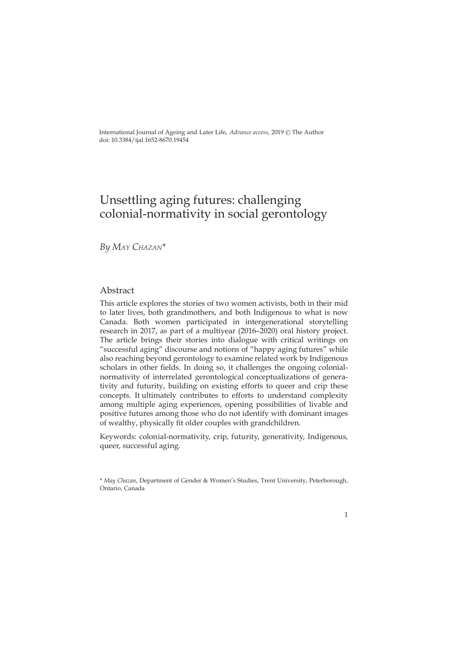International Journal of Ageing and Later Life, *Advance access*, 2019 © The Author doi: [10.3384/ijal.1652-8670.19454](http://dx.doi.org/10.3384/ijal.1652-8670.19454)

# Unsettling aging futures: challenging colonial-normativity in social gerontology

*By May Chazan\**

### Abstract

This article explores the stories of two women activists, both in their mid to later lives, both grandmothers, and both Indigenous to what is now Canada. Both women participated in intergenerational storytelling research in 2017, as part of a multiyear (2016–2020) oral history project. The article brings their stories into dialogue with critical writings on "successful aging" discourse and notions of "happy aging futures" while also reaching beyond gerontology to examine related work by Indigenous scholars in other fields. In doing so, it challenges the ongoing colonialnormativity of interrelated gerontological conceptualizations of generativity and futurity, building on existing efforts to queer and crip these concepts. It ultimately contributes to efforts to understand complexity among multiple aging experiences, opening possibilities of livable and positive futures among those who do not identify with dominant images of wealthy, physically fit older couples with grandchildren.

Keywords: colonial-normativity, crip, futurity, generativity, Indigenous, queer, successful aging.

<sup>\*</sup> *May Chazan*, Department of Gender & Women's Studies, Trent University, Peterborough, Ontario, Canada

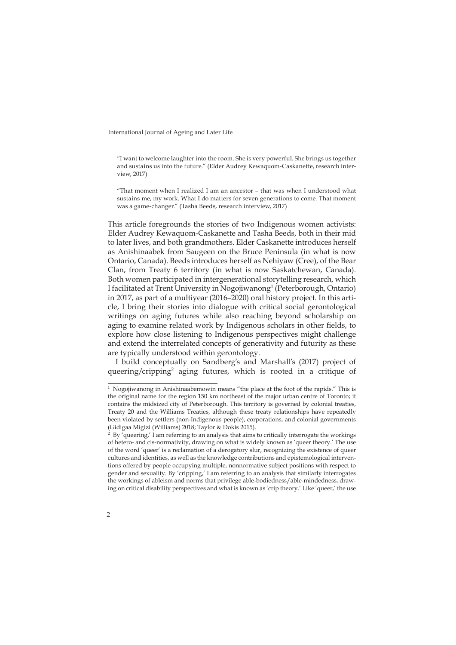"I want to welcome laughter into the room. She is very powerful. She brings us together and sustains us into the future." (Elder Audrey Kewaquom-Caskanette, research interview, 2017)

"That moment when I realized I am an ancestor – that was when I understood what sustains me, my work. What I do matters for seven generations to come. That moment was a game-changer." (Tasha Beeds, research interview, 2017)

This article foregrounds the stories of two Indigenous women activists: Elder Audrey Kewaquom-Caskanette and Tasha Beeds, both in their mid to later lives, and both grandmothers. Elder Caskanette introduces herself as Anishinaabek from Saugeen on the Bruce Peninsula (in what is now Ontario, Canada). Beeds introduces herself as Nehiyaw (Cree), of the Bear Clan, from Treaty 6 territory (in what is now Saskatchewan, Canada). Both women participated in intergenerational storytelling research, which I facilitated at Trent University in Nogojiwanong<sup>1</sup> (Peterborough, Ontario) in 2017, as part of a multiyear (2016–2020) oral history project. In this article, I bring their stories into dialogue with critical social gerontological writings on aging futures while also reaching beyond scholarship on aging to examine related work by Indigenous scholars in other fields, to explore how close listening to Indigenous perspectives might challenge and extend the interrelated concepts of generativity and futurity as these are typically understood within gerontology.

I build conceptually on Sandberg's and Marshall's (2017) project of queering/cripping<sup>2</sup> aging futures, which is rooted in a critique of

 $2$  By 'queering,' I am referring to an analysis that aims to critically interrogate the workings of hetero- and cis-normativity, drawing on what is widely known as 'queer theory.' The use of the word 'queer' is a reclamation of a derogatory slur, recognizing the existence of queer cultures and identities, as well as the knowledge contributions and epistemological interventions offered by people occupying multiple, nonnormative subject positions with respect to gender and sexuality. By 'cripping,' I am referring to an analysis that similarly interrogates the workings of ableism and norms that privilege able-bodiedness/able-mindedness, drawing on critical disability perspectives and what is known as 'crip theory.' Like 'queer,' the use



 $^1$  Nogojiwanong in Anishinaabemowin means "the place at the foot of the rapids." This is the original name for the region 150 km northeast of the major urban centre of Toronto; it contains the midsized city of Peterborough. This territory is governed by colonial treaties, Treaty 20 and the Williams Treaties, although these treaty relationships have repeatedly been violated by settlers (non-Indigenous people), corporations, and colonial governments (Gidigaa Migizi (Williams) 2018; Taylor & Dokis 2015).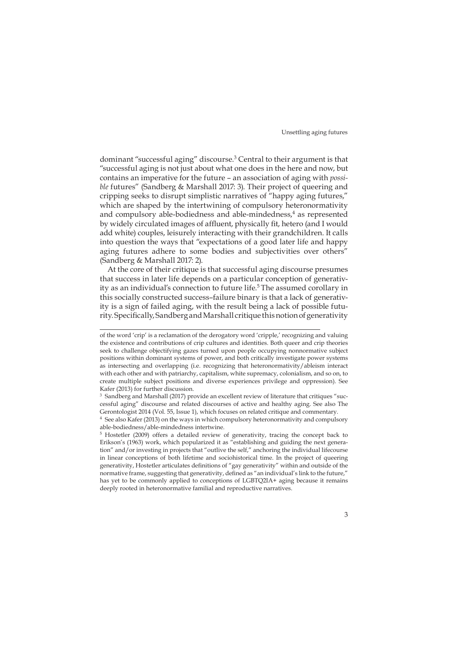dominant "successful aging" discourse.<sup>3</sup> Central to their argument is that "successful aging is not just about what one does in the here and now, but contains an imperative for the future – an association of aging with *possible* futures" (Sandberg & Marshall 2017: 3). Their project of queering and cripping seeks to disrupt simplistic narratives of "happy aging futures," which are shaped by the intertwining of compulsory heteronormativity and compulsory able-bodiedness and able-mindedness,<sup>4</sup> as represented by widely circulated images of affluent, physically fit, hetero (and I would add white) couples, leisurely interacting with their grandchildren. It calls into question the ways that "expectations of a good later life and happy aging futures adhere to some bodies and subjectivities over others" (Sandberg & Marshall 2017: 2).

At the core of their critique is that successful aging discourse presumes that success in later life depends on a particular conception of generativity as an individual's connection to future life.<sup>5</sup> The assumed corollary in this socially constructed success–failure binary is that a lack of generativity is a sign of failed aging, with the result being a lack of possible futurity. Specifically, Sandberg and Marshall critique this notion of generativity

of the word 'crip' is a reclamation of the derogatory word 'cripple,' recognizing and valuing the existence and contributions of crip cultures and identities. Both queer and crip theories seek to challenge objectifying gazes turned upon people occupying nonnormative subject positions within dominant systems of power, and both critically investigate power systems as intersecting and overlapping (i.e. recognizing that heteronormativity/ableism interact with each other and with patriarchy, capitalism, white supremacy, colonialism, and so on, to create multiple subject positions and diverse experiences privilege and oppression). See Kafer (2013) for further discussion.

<sup>&</sup>lt;sup>3</sup> Sandberg and Marshall (2017) provide an excellent review of literature that critiques "successful aging" discourse and related discourses of active and healthy aging. See also The Gerontologist 2014 (Vol. 55, Issue 1), which focuses on related critique and commentary.

<sup>4</sup> See also Kafer (2013) on the ways in which compulsory heteronormativity and compulsory able-bodiedness/able-mindedness intertwine.

<sup>5</sup> Hostetler (2009) offers a detailed review of generativity, tracing the concept back to Erikson's (1963) work, which popularized it as "establishing and guiding the next generation" and/or investing in projects that "outlive the self," anchoring the individual lifecourse in linear conceptions of both lifetime and sociohistorical time. In the project of queering generativity, Hostetler articulates definitions of "gay generativity" within and outside of the normative frame, suggesting that generativity, defined as "an individual's link to the future," has yet to be commonly applied to conceptions of LGBTQ2IA+ aging because it remains deeply rooted in heteronormative familial and reproductive narratives.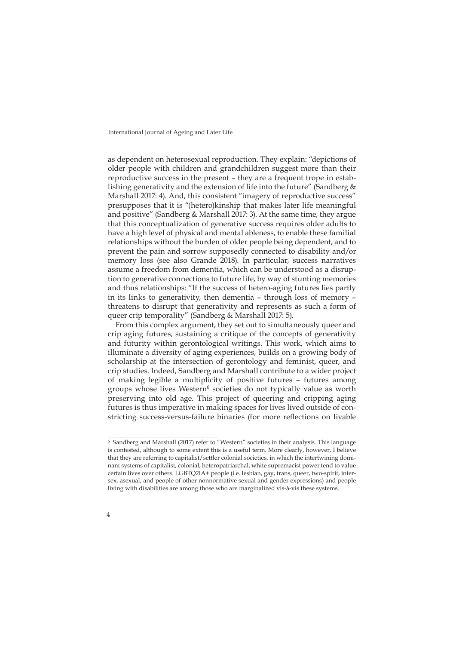as dependent on heterosexual reproduction. They explain: "depictions of older people with children and grandchildren suggest more than their reproductive success in the present – they are a frequent trope in establishing generativity and the extension of life into the future" (Sandberg  $&$ Marshall 2017: 4). And, this consistent "imagery of reproductive success" presupposes that it is "(hetero)kinship that makes later life meaningful and positive" (Sandberg & Marshall 2017: 3). At the same time, they argue that this conceptualization of generative success requires older adults to have a high level of physical and mental ableness, to enable these familial relationships without the burden of older people being dependent, and to prevent the pain and sorrow supposedly connected to disability and/or memory loss (see also Grande 2018). In particular, success narratives assume a freedom from dementia, which can be understood as a disruption to generative connections to future life, by way of stunting memories and thus relationships: "If the success of hetero-aging futures lies partly in its links to generativity, then dementia – through loss of memory – threatens to disrupt that generativity and represents as such a form of queer crip temporality" (Sandberg & Marshall 2017: 5).

From this complex argument, they set out to simultaneously queer and crip aging futures, sustaining a critique of the concepts of generativity and futurity within gerontological writings. This work, which aims to illuminate a diversity of aging experiences, builds on a growing body of scholarship at the intersection of gerontology and feminist, queer, and crip studies. Indeed, Sandberg and Marshall contribute to a wider project of making legible a multiplicity of positive futures – futures among groups whose lives Western<sup>6</sup> societies do not typically value as worth preserving into old age. This project of queering and cripping aging futures is thus imperative in making spaces for lives lived outside of constricting success-versus-failure binaries (for more reflections on livable

<sup>&</sup>lt;sup>6</sup> Sandberg and Marshall (2017) refer to "Western" societies in their analysis. This language is contested, although to some extent this is a useful term. More clearly, however, I believe that they are referring to capitalist/settler colonial societies, in which the intertwining dominant systems of capitalist, colonial, heteropatriarchal, white supremacist power tend to value certain lives over others. LGBTQ2IA+ people (i.e. lesbian, gay, trans, queer, two-spirit, intersex, asexual, and people of other nonnormative sexual and gender expressions) and people living with disabilities are among those who are marginalized vis-à-vis these systems.

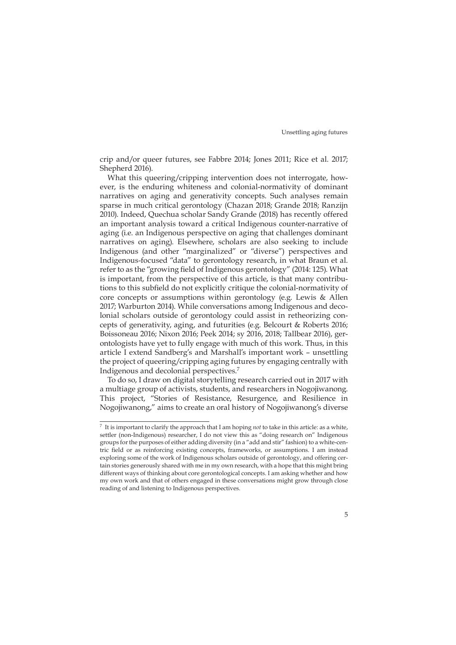crip and/or queer futures, see Fabbre 2014; Jones 2011; Rice et al. 2017; Shepherd 2016).

What this queering/cripping intervention does not interrogate, however, is the enduring whiteness and colonial-normativity of dominant narratives on aging and generativity concepts. Such analyses remain sparse in much critical gerontology (Chazan 2018; Grande 2018; Ranzijn 2010). Indeed, Quechua scholar Sandy Grande (2018) has recently offered an important analysis toward a critical Indigenous counter-narrative of aging (i.e. an Indigenous perspective on aging that challenges dominant narratives on aging). Elsewhere, scholars are also seeking to include Indigenous (and other "marginalized" or "diverse") perspectives and Indigenous-focused "data" to gerontology research, in what Braun et al. refer to as the "growing field of Indigenous gerontology" (2014: 125). What is important, from the perspective of this article, is that many contributions to this subfield do not explicitly critique the colonial-normativity of core concepts or assumptions within gerontology (e.g. Lewis & Allen 2017; Warburton 2014). While conversations among Indigenous and decolonial scholars outside of gerontology could assist in retheorizing concepts of generativity, aging, and futurities (e.g. Belcourt & Roberts 2016; Boissoneau 2016; Nixon 2016; Peek 2014; sy 2016, 2018; Tallbear 2016), gerontologists have yet to fully engage with much of this work. Thus, in this article I extend Sandberg's and Marshall's important work – unsettling the project of queering/cripping aging futures by engaging centrally with Indigenous and decolonial perspectives.7

To do so, I draw on digital storytelling research carried out in 2017 with a multiage group of activists, students, and researchers in Nogojiwanong. This project, "Stories of Resistance, Resurgence, and Resilience in Nogojiwanong," aims to create an oral history of Nogojiwanong's diverse

<sup>7</sup> It is important to clarify the approach that I am hoping *not* to take in this article: as a white, settler (non-Indigenous) researcher, I do not view this as "doing research on" Indigenous groups for the purposes of either adding diversity (in a "add and stir" fashion) to a white-centric field or as reinforcing existing concepts, frameworks, or assumptions. I am instead exploring some of the work of Indigenous scholars outside of gerontology, and offering certain stories generously shared with me in my own research, with a hope that this might bring different ways of thinking about core gerontological concepts. I am asking whether and how my own work and that of others engaged in these conversations might grow through close reading of and listening to Indigenous perspectives.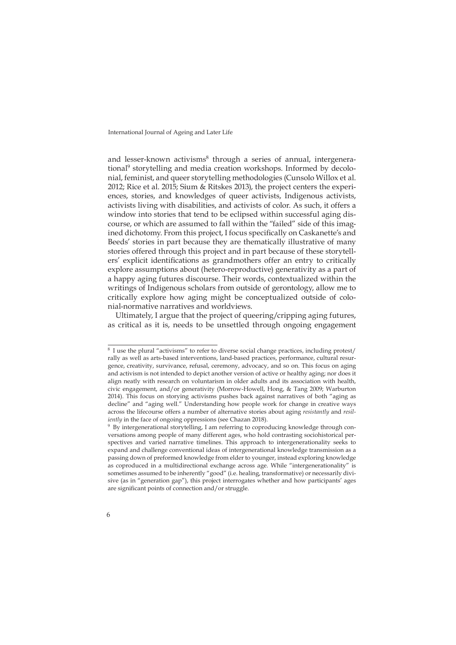and lesser-known activisms<sup>8</sup> through a series of annual, intergenerational<sup>9</sup> storytelling and media creation workshops. Informed by decolonial, feminist, and queer storytelling methodologies (Cunsolo Willox et al. 2012; Rice et al. 2015; Sium & Ritskes 2013), the project centers the experiences, stories, and knowledges of queer activists, Indigenous activists, activists living with disabilities, and activists of color. As such, it offers a window into stories that tend to be eclipsed within successful aging discourse, or which are assumed to fall within the "failed" side of this imagined dichotomy. From this project, I focus specifically on Caskanette's and Beeds' stories in part because they are thematically illustrative of many stories offered through this project and in part because of these storytellers' explicit identifications as grandmothers offer an entry to critically explore assumptions about (hetero-reproductive) generativity as a part of a happy aging futures discourse. Their words, contextualized within the writings of Indigenous scholars from outside of gerontology, allow me to critically explore how aging might be conceptualized outside of colonial-normative narratives and worldviews.

Ultimately, I argue that the project of queering/cripping aging futures, as critical as it is, needs to be unsettled through ongoing engagement

<sup>8</sup> I use the plural "activisms" to refer to diverse social change practices, including protest/ rally as well as arts-based interventions, land-based practices, performance, cultural resurgence, creativity, survivance, refusal, ceremony, advocacy, and so on. This focus on aging and activism is not intended to depict another version of active or healthy aging; nor does it align neatly with research on voluntarism in older adults and its association with health, civic engagement, and/or generativity (Morrow-Howell, Hong, & Tang 2009; Warburton 2014). This focus on storying activisms pushes back against narratives of both "aging as decline" and "aging well." Understanding how people work for change in creative ways across the lifecourse offers a number of alternative stories about aging *resistantly* and *resiliently* in the face of ongoing oppressions (see Chazan 2018).

<sup>9</sup> By intergenerational storytelling, I am referring to coproducing knowledge through conversations among people of many different ages, who hold contrasting sociohistorical perspectives and varied narrative timelines. This approach to intergenerationality seeks to expand and challenge conventional ideas of intergenerational knowledge transmission as a passing down of preformed knowledge from elder to younger, instead exploring knowledge as coproduced in a multidirectional exchange across age. While "intergenerationality" is sometimes assumed to be inherently "good" (i.e. healing, transformative) or necessarily divisive (as in "generation gap"), this project interrogates whether and how participants' ages are significant points of connection and/or struggle.

<sup>6</sup>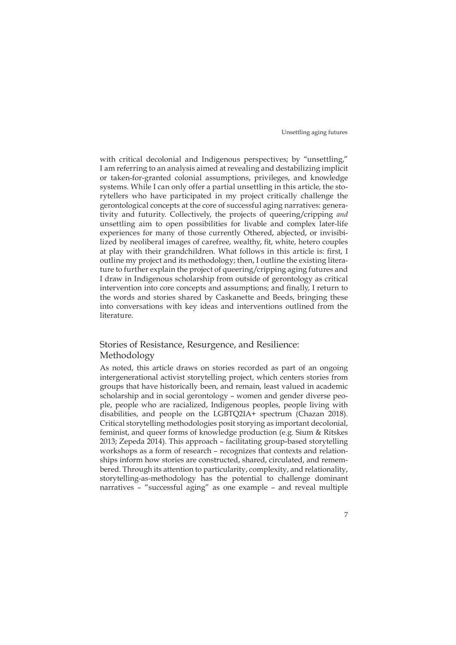with critical decolonial and Indigenous perspectives; by "unsettling," I am referring to an analysis aimed at revealing and destabilizing implicit or taken-for-granted colonial assumptions, privileges, and knowledge systems. While I can only offer a partial unsettling in this article, the storytellers who have participated in my project critically challenge the gerontological concepts at the core of successful aging narratives: generativity and futurity. Collectively, the projects of queering/cripping *and* unsettling aim to open possibilities for livable and complex later-life experiences for many of those currently Othered, abjected, or invisibilized by neoliberal images of carefree, wealthy, fit, white, hetero couples at play with their grandchildren. What follows in this article is: first, I outline my project and its methodology; then, I outline the existing literature to further explain the project of queering/cripping aging futures and I draw in Indigenous scholarship from outside of gerontology as critical intervention into core concepts and assumptions; and finally, I return to the words and stories shared by Caskanette and Beeds, bringing these into conversations with key ideas and interventions outlined from the literature.

# Stories of Resistance, Resurgence, and Resilience: Methodology

As noted, this article draws on stories recorded as part of an ongoing intergenerational activist storytelling project, which centers stories from groups that have historically been, and remain, least valued in academic scholarship and in social gerontology – women and gender diverse people, people who are racialized, Indigenous peoples, people living with disabilities, and people on the LGBTQ2IA+ spectrum (Chazan 2018). Critical storytelling methodologies posit storying as important decolonial, feminist, and queer forms of knowledge production (e.g. Sium & Ritskes 2013; Zepeda 2014). This approach – facilitating group-based storytelling workshops as a form of research – recognizes that contexts and relationships inform how stories are constructed, shared, circulated, and remembered. Through its attention to particularity, complexity, and relationality, storytelling-as-methodology has the potential to challenge dominant narratives – "successful aging" as one example – and reveal multiple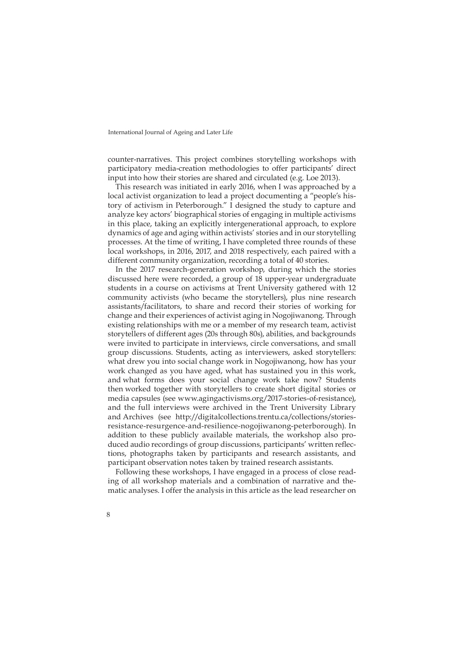counter-narratives. This project combines storytelling workshops with participatory media-creation methodologies to offer participants' direct input into how their stories are shared and circulated (e.g. Loe 2013).

This research was initiated in early 2016, when I was approached by a local activist organization to lead a project documenting a "people's history of activism in Peterborough." I designed the study to capture and analyze key actors' biographical stories of engaging in multiple activisms in this place, taking an explicitly intergenerational approach, to explore dynamics of age and aging within activists' stories and in our storytelling processes. At the time of writing, I have completed three rounds of these local workshops, in 2016, 2017, and 2018 respectively, each paired with a different community organization, recording a total of 40 stories.

In the 2017 research-generation workshop, during which the stories discussed here were recorded, a group of 18 upper-year undergraduate students in a course on activisms at Trent University gathered with 12 community activists (who became the storytellers), plus nine research assistants/facilitators, to share and record their stories of working for change and their experiences of activist aging in Nogojiwanong. Through existing relationships with me or a member of my research team, activist storytellers of different ages (20s through 80s), abilities, and backgrounds were invited to participate in interviews, circle conversations, and small group discussions. Students, acting as interviewers, asked storytellers: what drew you into social change work in Nogojiwanong, how has your work changed as you have aged, what has sustained you in this work, and what forms does your social change work take now? Students then worked together with storytellers to create short digital stories or media capsules (see [www.agingactivisms.org/2017-stories-of-resistance](http://www.agingactivisms.org/2017-stories-of-resistance)), and the full interviews were archived in the Trent University Library and Archives (see [http://digitalcollections.trentu.ca/collections/stories](http://digitalcollections.trentu.ca/collections/stories-resistance-resurgence-and-resilience-nogojiwanong-peterborough)[resistance-resurgence-and-resilience-nogojiwanong-peterborough\)](http://digitalcollections.trentu.ca/collections/stories-resistance-resurgence-and-resilience-nogojiwanong-peterborough). In addition to these publicly available materials, the workshop also produced audio recordings of group discussions, participants' written reflections, photographs taken by participants and research assistants, and participant observation notes taken by trained research assistants.

Following these workshops, I have engaged in a process of close reading of all workshop materials and a combination of narrative and thematic analyses. I offer the analysis in this article as the lead researcher on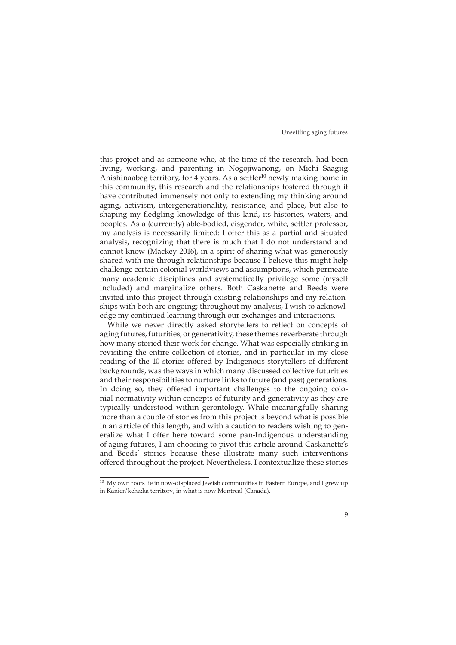this project and as someone who, at the time of the research, had been living, working, and parenting in Nogojiwanong, on Michi Saagiig Anishinaabeg territory, for 4 years. As a settler<sup>10</sup> newly making home in this community, this research and the relationships fostered through it have contributed immensely not only to extending my thinking around aging, activism, intergenerationality, resistance, and place, but also to shaping my fledgling knowledge of this land, its histories, waters, and peoples. As a (currently) able-bodied, cisgender, white, settler professor, my analysis is necessarily limited: I offer this as a partial and situated analysis, recognizing that there is much that I do not understand and cannot know (Mackey 2016), in a spirit of sharing what was generously shared with me through relationships because I believe this might help challenge certain colonial worldviews and assumptions, which permeate many academic disciplines and systematically privilege some (myself included) and marginalize others. Both Caskanette and Beeds were invited into this project through existing relationships and my relationships with both are ongoing; throughout my analysis, I wish to acknowledge my continued learning through our exchanges and interactions.

While we never directly asked storytellers to reflect on concepts of aging futures, futurities, or generativity, these themes reverberate through how many storied their work for change. What was especially striking in revisiting the entire collection of stories, and in particular in my close reading of the 10 stories offered by Indigenous storytellers of different backgrounds, was the ways in which many discussed collective futurities and their responsibilities to nurture links to future (and past) generations. In doing so, they offered important challenges to the ongoing colonial-normativity within concepts of futurity and generativity as they are typically understood within gerontology. While meaningfully sharing more than a couple of stories from this project is beyond what is possible in an article of this length, and with a caution to readers wishing to generalize what I offer here toward some pan-Indigenous understanding of aging futures, I am choosing to pivot this article around Caskanette's and Beeds' stories because these illustrate many such interventions offered throughout the project. Nevertheless, I contextualize these stories

 $^{10}\,$  My own roots lie in now-displaced Jewish communities in Eastern Europe, and I grew up in Kanien'keha:ka territory, in what is now Montreal (Canada).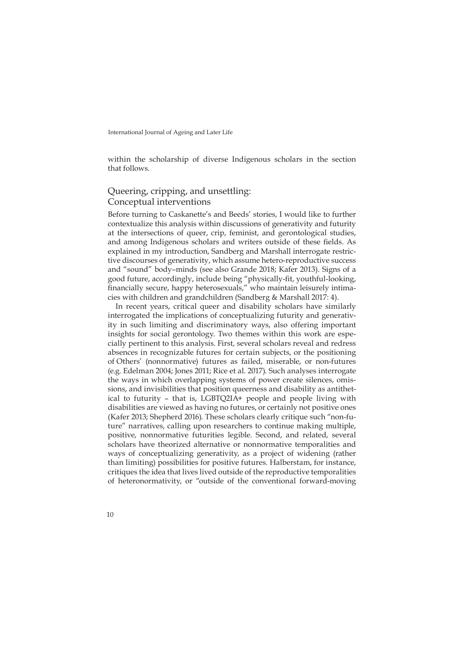within the scholarship of diverse Indigenous scholars in the section that follows.

# Queering, cripping, and unsettling: Conceptual interventions

Before turning to Caskanette's and Beeds' stories, I would like to further contextualize this analysis within discussions of generativity and futurity at the intersections of queer, crip, feminist, and gerontological studies, and among Indigenous scholars and writers outside of these fields. As explained in my introduction, Sandberg and Marshall interrogate restrictive discourses of generativity, which assume hetero-reproductive success and "sound" body–minds (see also Grande 2018; Kafer 2013). Signs of a good future, accordingly, include being "physically-fit, youthful-looking, financially secure, happy heterosexuals," who maintain leisurely intimacies with children and grandchildren (Sandberg & Marshall 2017: 4).

In recent years, critical queer and disability scholars have similarly interrogated the implications of conceptualizing futurity and generativity in such limiting and discriminatory ways, also offering important insights for social gerontology. Two themes within this work are especially pertinent to this analysis. First, several scholars reveal and redress absences in recognizable futures for certain subjects, or the positioning of Others' (nonnormative) futures as failed, miserable, or non-futures (e.g. Edelman 2004; Jones 2011; Rice et al. 2017). Such analyses interrogate the ways in which overlapping systems of power create silences, omissions, and invisibilities that position queerness and disability as antithetical to futurity – that is, LGBTQ2IA+ people and people living with disabilities are viewed as having no futures, or certainly not positive ones (Kafer 2013; Shepherd 2016). These scholars clearly critique such "non-future" narratives, calling upon researchers to continue making multiple, positive, nonnormative futurities legible. Second, and related, several scholars have theorized alternative or nonnormative temporalities and ways of conceptualizing generativity, as a project of widening (rather than limiting) possibilities for positive futures. Halberstam, for instance, critiques the idea that lives lived outside of the reproductive temporalities of heteronormativity, or "outside of the conventional forward-moving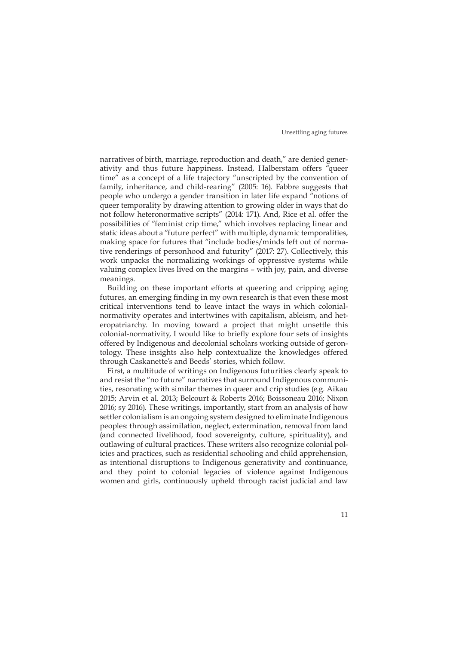narratives of birth, marriage, reproduction and death," are denied generativity and thus future happiness. Instead, Halberstam offers "queer time" as a concept of a life trajectory "unscripted by the convention of family, inheritance, and child-rearing" (2005: 16). Fabbre suggests that people who undergo a gender transition in later life expand "notions of queer temporality by drawing attention to growing older in ways that do not follow heteronormative scripts" (2014: 171). And, Rice et al. offer the possibilities of "feminist crip time," which involves replacing linear and static ideas about a "future perfect" with multiple, dynamic temporalities, making space for futures that "include bodies/minds left out of normative renderings of personhood and futurity" (2017: 27). Collectively, this work unpacks the normalizing workings of oppressive systems while valuing complex lives lived on the margins – with joy, pain, and diverse meanings.

Building on these important efforts at queering and cripping aging futures, an emerging finding in my own research is that even these most critical interventions tend to leave intact the ways in which colonialnormativity operates and intertwines with capitalism, ableism, and heteropatriarchy. In moving toward a project that might unsettle this colonial-normativity, I would like to briefly explore four sets of insights offered by Indigenous and decolonial scholars working outside of gerontology. These insights also help contextualize the knowledges offered through Caskanette's and Beeds' stories, which follow.

First, a multitude of writings on Indigenous futurities clearly speak to and resist the "no future" narratives that surround Indigenous communities, resonating with similar themes in queer and crip studies (e.g. Aikau 2015; Arvin et al. 2013; Belcourt & Roberts 2016; Boissoneau 2016; Nixon 2016; sy 2016). These writings, importantly, start from an analysis of how settler colonialism is an ongoing system designed to eliminate Indigenous peoples: through assimilation, neglect, extermination, removal from land (and connected livelihood, food sovereignty, culture, spirituality), and outlawing of cultural practices. These writers also recognize colonial policies and practices, such as residential schooling and child apprehension, as intentional disruptions to Indigenous generativity and continuance, and they point to colonial legacies of violence against Indigenous women and girls, continuously upheld through racist judicial and law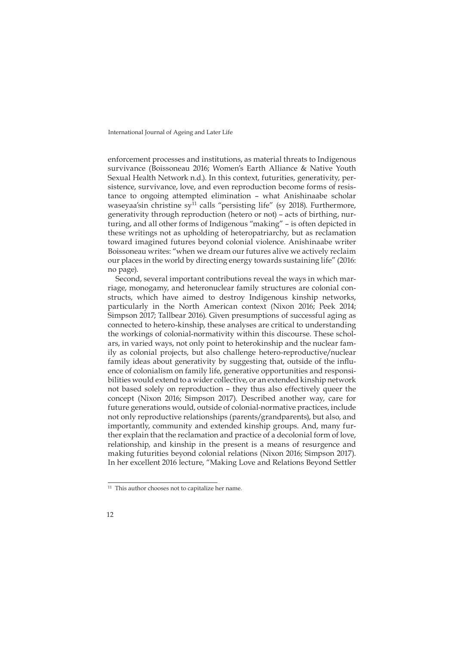enforcement processes and institutions, as material threats to Indigenous survivance (Boissoneau 2016; Women's Earth Alliance & Native Youth Sexual Health Network n.d.). In this context, futurities, generativity, persistence, survivance, love, and even reproduction become forms of resistance to ongoing attempted elimination – what Anishinaabe scholar waseyaa'sin christine sy<sup>11</sup> calls "persisting life" (sy 2018). Furthermore, generativity through reproduction (hetero or not) – acts of birthing, nurturing, and all other forms of Indigenous "making" – is often depicted in these writings not as upholding of heteropatriarchy, but as reclamation toward imagined futures beyond colonial violence. Anishinaabe writer Boissoneau writes: "when we dream our futures alive we actively reclaim our places in the world by directing energy towards sustaining life" (2016: no page).

Second, several important contributions reveal the ways in which marriage, monogamy, and heteronuclear family structures are colonial constructs, which have aimed to destroy Indigenous kinship networks, particularly in the North American context (Nixon 2016; Peek 2014; Simpson 2017; Tallbear 2016). Given presumptions of successful aging as connected to hetero-kinship, these analyses are critical to understanding the workings of colonial-normativity within this discourse. These scholars, in varied ways, not only point to heterokinship and the nuclear family as colonial projects, but also challenge hetero-reproductive/nuclear family ideas about generativity by suggesting that, outside of the influence of colonialism on family life, generative opportunities and responsibilities would extend to a wider collective, or an extended kinship network not based solely on reproduction – they thus also effectively queer the concept (Nixon 2016; Simpson 2017). Described another way, care for future generations would, outside of colonial-normative practices, include not only reproductive relationships (parents/grandparents), but also, and importantly, community and extended kinship groups. And, many further explain that the reclamation and practice of a decolonial form of love, relationship, and kinship in the present is a means of resurgence and making futurities beyond colonial relations (Nixon 2016; Simpson 2017). In her excellent 2016 lecture, "Making Love and Relations Beyond Settler

<sup>&</sup>lt;sup>11</sup> This author chooses not to capitalize her name.

<sup>12</sup>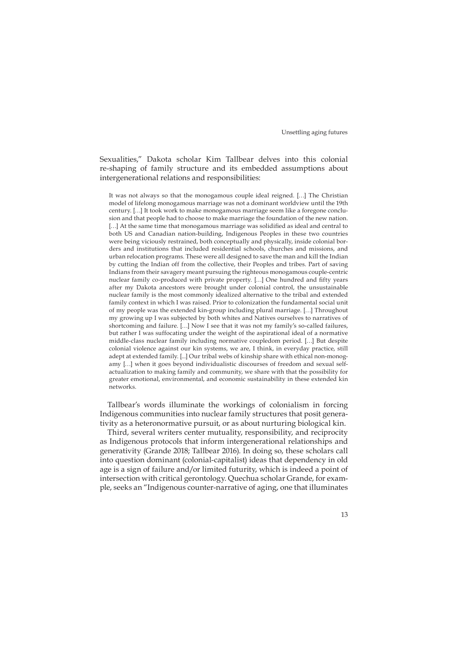Sexualities," Dakota scholar Kim Tallbear delves into this colonial re-shaping of family structure and its embedded assumptions about intergenerational relations and responsibilities:

It was not always so that the monogamous couple ideal reigned. […] The Christian model of lifelong monogamous marriage was not a dominant worldview until the 19th century. […] It took work to make monogamous marriage seem like a foregone conclusion and that people had to choose to make marriage the foundation of the new nation. [...] At the same time that monogamous marriage was solidified as ideal and central to both US and Canadian nation-building, Indigenous Peoples in these two countries were being viciously restrained, both conceptually and physically, inside colonial borders and institutions that included residential schools, churches and missions, and urban relocation programs. These were all designed to save the man and kill the Indian by cutting the Indian off from the collective, their Peoples and tribes. Part of saving Indians from their savagery meant pursuing the righteous monogamous couple-centric nuclear family co-produced with private property. […] One hundred and fifty years after my Dakota ancestors were brought under colonial control, the unsustainable nuclear family is the most commonly idealized alternative to the tribal and extended family context in which I was raised. Prior to colonization the fundamental social unit of my people was the extended kin-group including plural marriage. […] Throughout my growing up I was subjected by both whites and Natives ourselves to narratives of shortcoming and failure. […] Now I see that it was not my family's so-called failures, but rather I was suffocating under the weight of the aspirational ideal of a normative middle-class nuclear family including normative coupledom period. […] But despite colonial violence against our kin systems, we are, I think, in everyday practice, still adept at extended family. [...] Our tribal webs of kinship share with ethical non-monogamy […] when it goes beyond individualistic discourses of freedom and sexual selfactualization to making family and community, we share with that the possibility for greater emotional, environmental, and economic sustainability in these extended kin networks.

Tallbear's words illuminate the workings of colonialism in forcing Indigenous communities into nuclear family structures that posit generativity as a heteronormative pursuit, or as about nurturing biological kin.

Third, several writers center mutuality, responsibility, and reciprocity as Indigenous protocols that inform intergenerational relationships and generativity (Grande 2018; Tallbear 2016). In doing so, these scholars call into question dominant (colonial-capitalist) ideas that dependency in old age is a sign of failure and/or limited futurity, which is indeed a point of intersection with critical gerontology. Quechua scholar Grande, for example, seeks an "Indigenous counter-narrative of aging, one that illuminates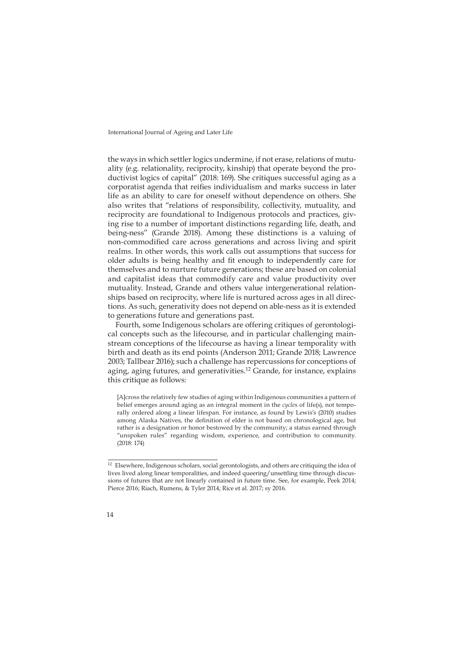the ways in which settler logics undermine, if not erase, relations of mutuality (e.g. relationality, reciprocity, kinship) that operate beyond the productivist logics of capital" (2018: 169). She critiques successful aging as a corporatist agenda that reifies individualism and marks success in later life as an ability to care for oneself without dependence on others. She also writes that "relations of responsibility, collectivity, mutuality, and reciprocity are foundational to Indigenous protocols and practices, giving rise to a number of important distinctions regarding life, death, and being-ness" (Grande 2018). Among these distinctions is a valuing of non-commodified care across generations and across living and spirit realms. In other words, this work calls out assumptions that success for older adults is being healthy and fit enough to independently care for themselves and to nurture future generations; these are based on colonial and capitalist ideas that commodify care and value productivity over mutuality. Instead, Grande and others value intergenerational relationships based on reciprocity, where life is nurtured across ages in all directions. As such, generativity does not depend on able-ness as it is extended to generations future and generations past.

Fourth, some Indigenous scholars are offering critiques of gerontological concepts such as the lifecourse, and in particular challenging mainstream conceptions of the lifecourse as having a linear temporality with birth and death as its end points (Anderson 2011; Grande 2018; Lawrence 2003; Tallbear 2016); such a challenge has repercussions for conceptions of aging, aging futures, and generativities.<sup>12</sup> Grande, for instance, explains this critique as follows:

[A]cross the relatively few studies of aging within Indigenous communities a pattern of belief emerges around aging as an integral moment in the *cycle*s of life(s), not temporally ordered along a linear lifespan. For instance, as found by Lewis's (2010) studies among Alaska Natives, the definition of elder is not based on chronological age, but rather is a designation or honor bestowed by the community; a status earned through "unspoken rules" regarding wisdom, experience, and contribution to community. (2018: 174)

<sup>&</sup>lt;sup>12</sup> Elsewhere, Indigenous scholars, social gerontologists, and others are critiquing the idea of lives lived along linear temporalities, and indeed queering/unsettling time through discussions of futures that are not linearly contained in future time. See, for example, Peek 2014; Pierce 2016; Riach, Rumens, & Tyler 2014; Rice et al. 2017; sy 2016.

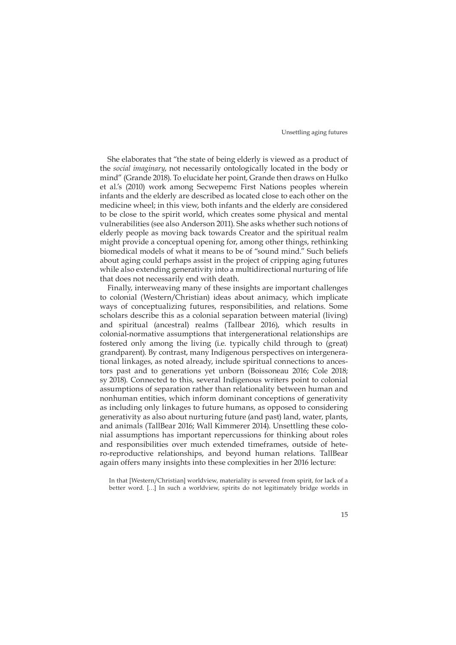She elaborates that "the state of being elderly is viewed as a product of the *social imaginary*, not necessarily ontologically located in the body or mind" (Grande 2018). To elucidate her point, Grande then draws on Hulko et al.'s (2010) work among Secwepemc First Nations peoples wherein infants and the elderly are described as located close to each other on the medicine wheel; in this view, both infants and the elderly are considered to be close to the spirit world, which creates some physical and mental vulnerabilities (see also Anderson 2011). She asks whether such notions of elderly people as moving back towards Creator and the spiritual realm might provide a conceptual opening for, among other things, rethinking biomedical models of what it means to be of "sound mind." Such beliefs about aging could perhaps assist in the project of cripping aging futures while also extending generativity into a multidirectional nurturing of life that does not necessarily end with death.

Finally, interweaving many of these insights are important challenges to colonial (Western/Christian) ideas about animacy, which implicate ways of conceptualizing futures, responsibilities, and relations. Some scholars describe this as a colonial separation between material (living) and spiritual (ancestral) realms (Tallbear 2016), which results in colonial-normative assumptions that intergenerational relationships are fostered only among the living (i.e. typically child through to (great) grandparent). By contrast, many Indigenous perspectives on intergenerational linkages, as noted already, include spiritual connections to ancestors past and to generations yet unborn (Boissoneau 2016; Cole 2018; sy 2018). Connected to this, several Indigenous writers point to colonial assumptions of separation rather than relationality between human and nonhuman entities, which inform dominant conceptions of generativity as including only linkages to future humans, as opposed to considering generativity as also about nurturing future (and past) land, water, plants, and animals (TallBear 2016; Wall Kimmerer 2014). Unsettling these colonial assumptions has important repercussions for thinking about roles and responsibilities over much extended timeframes, outside of hetero-reproductive relationships, and beyond human relations. TallBear again offers many insights into these complexities in her 2016 lecture:

In that [Western/Christian] worldview, materiality is severed from spirit, for lack of a better word. […] In such a worldview, spirits do not legitimately bridge worlds in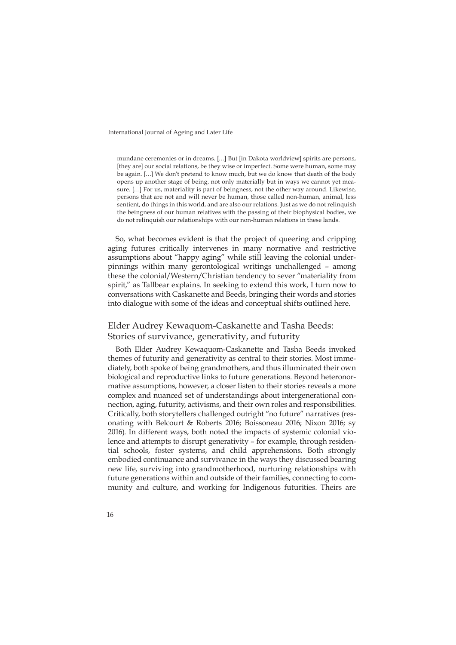mundane ceremonies or in dreams. […] But [in Dakota worldview] spirits are persons, [they are] our social relations, be they wise or imperfect. Some were human, some may be again. […] We don't pretend to know much, but we do know that death of the body opens up another stage of being, not only materially but in ways we cannot yet measure. […] For us, materiality is part of beingness, not the other way around. Likewise, persons that are not and will never be human, those called non-human, animal, less sentient, do things in this world, and are also our relations. Just as we do not relinquish the beingness of our human relatives with the passing of their biophysical bodies, we do not relinquish our relationships with our non-human relations in these lands.

So, what becomes evident is that the project of queering and cripping aging futures critically intervenes in many normative and restrictive assumptions about "happy aging" while still leaving the colonial underpinnings within many gerontological writings unchallenged – among these the colonial/Western/Christian tendency to sever "materiality from spirit," as Tallbear explains. In seeking to extend this work, I turn now to conversations with Caskanette and Beeds, bringing their words and stories into dialogue with some of the ideas and conceptual shifts outlined here.

### Elder Audrey Kewaquom-Caskanette and Tasha Beeds: Stories of survivance, generativity, and futurity

Both Elder Audrey Kewaquom-Caskanette and Tasha Beeds invoked themes of futurity and generativity as central to their stories. Most immediately, both spoke of being grandmothers, and thus illuminated their own biological and reproductive links to future generations. Beyond heteronormative assumptions, however, a closer listen to their stories reveals a more complex and nuanced set of understandings about intergenerational connection, aging, futurity, activisms, and their own roles and responsibilities. Critically, both storytellers challenged outright "no future" narratives (resonating with Belcourt & Roberts 2016; Boissoneau 2016; Nixon 2016; sy 2016). In different ways, both noted the impacts of systemic colonial violence and attempts to disrupt generativity – for example, through residential schools, foster systems, and child apprehensions. Both strongly embodied continuance and survivance in the ways they discussed bearing new life, surviving into grandmotherhood, nurturing relationships with future generations within and outside of their families, connecting to community and culture, and working for Indigenous futurities. Theirs are

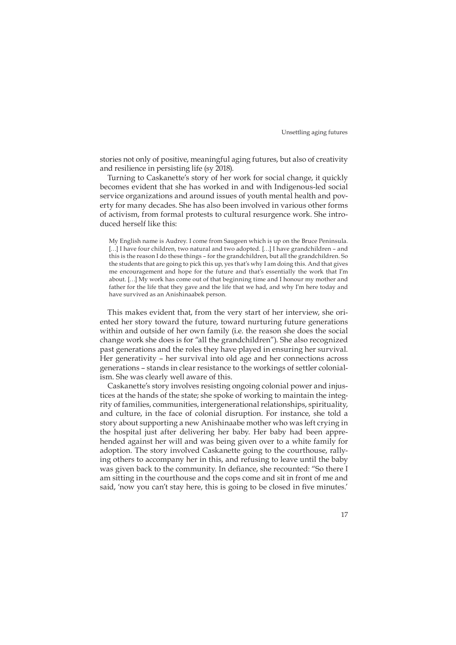stories not only of positive, meaningful aging futures, but also of creativity and resilience in persisting life (sy 2018).

Turning to Caskanette's story of her work for social change, it quickly becomes evident that she has worked in and with Indigenous-led social service organizations and around issues of youth mental health and poverty for many decades. She has also been involved in various other forms of activism, from formal protests to cultural resurgence work. She introduced herself like this:

My English name is Audrey. I come from Saugeen which is up on the Bruce Peninsula. [...] I have four children, two natural and two adopted. [...] I have grandchildren - and this is the reason I do these things – for the grandchildren, but all the grandchildren. So the students that are going to pick this up, yes that's why I am doing this. And that gives me encouragement and hope for the future and that's essentially the work that I'm about. […] My work has come out of that beginning time and I honour my mother and father for the life that they gave and the life that we had, and why I'm here today and have survived as an Anishinaabek person.

This makes evident that, from the very start of her interview, she oriented her story toward the future, toward nurturing future generations within and outside of her own family (i.e. the reason she does the social change work she does is for "all the grandchildren"). She also recognized past generations and the roles they have played in ensuring her survival. Her generativity – her survival into old age and her connections across generations – stands in clear resistance to the workings of settler colonialism. She was clearly well aware of this.

Caskanette's story involves resisting ongoing colonial power and injustices at the hands of the state; she spoke of working to maintain the integrity of families, communities, intergenerational relationships, spirituality, and culture, in the face of colonial disruption. For instance, she told a story about supporting a new Anishinaabe mother who was left crying in the hospital just after delivering her baby. Her baby had been apprehended against her will and was being given over to a white family for adoption. The story involved Caskanette going to the courthouse, rallying others to accompany her in this, and refusing to leave until the baby was given back to the community. In defiance, she recounted: "So there I am sitting in the courthouse and the cops come and sit in front of me and said, 'now you can't stay here, this is going to be closed in five minutes.'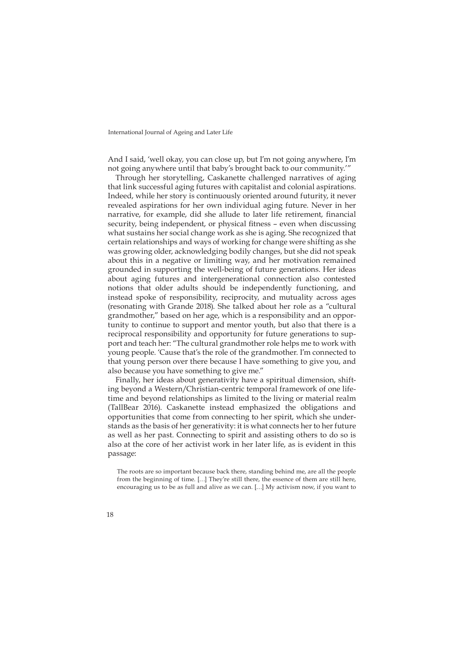And I said, 'well okay, you can close up, but I'm not going anywhere, I'm not going anywhere until that baby's brought back to our community.'"

Through her storytelling, Caskanette challenged narratives of aging that link successful aging futures with capitalist and colonial aspirations. Indeed, while her story is continuously oriented around futurity, it never revealed aspirations for her own individual aging future. Never in her narrative, for example, did she allude to later life retirement, financial security, being independent, or physical fitness – even when discussing what sustains her social change work as she is aging. She recognized that certain relationships and ways of working for change were shifting as she was growing older, acknowledging bodily changes, but she did not speak about this in a negative or limiting way, and her motivation remained grounded in supporting the well-being of future generations. Her ideas about aging futures and intergenerational connection also contested notions that older adults should be independently functioning, and instead spoke of responsibility, reciprocity, and mutuality across ages (resonating with Grande 2018). She talked about her role as a "cultural grandmother," based on her age, which is a responsibility and an opportunity to continue to support and mentor youth, but also that there is a reciprocal responsibility and opportunity for future generations to support and teach her: "The cultural grandmother role helps me to work with young people. 'Cause that's the role of the grandmother. I'm connected to that young person over there because I have something to give you, and also because you have something to give me."

Finally, her ideas about generativity have a spiritual dimension, shifting beyond a Western/Christian-centric temporal framework of one lifetime and beyond relationships as limited to the living or material realm (TallBear 2016). Caskanette instead emphasized the obligations and opportunities that come from connecting to her spirit, which she understands as the basis of her generativity: it is what connects her to her future as well as her past. Connecting to spirit and assisting others to do so is also at the core of her activist work in her later life, as is evident in this passage:

The roots are so important because back there, standing behind me, are all the people from the beginning of time. […] They're still there, the essence of them are still here, encouraging us to be as full and alive as we can. […] My activism now, if you want to

<sup>18</sup>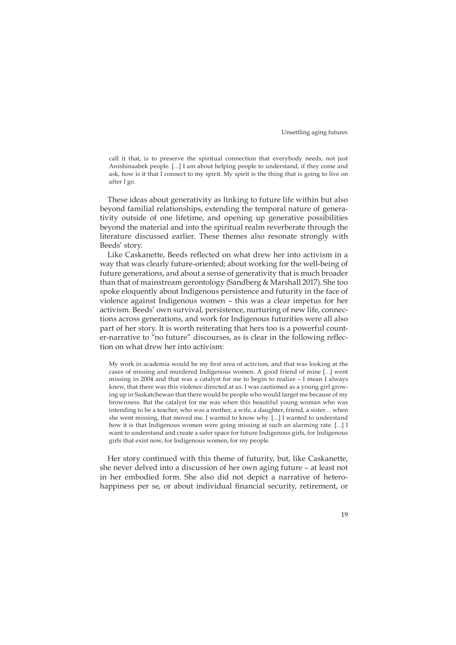call it that, is to preserve the spiritual connection that everybody needs, not just Anishinaabek people. […] I am about helping people to understand, if they come and ask, how is it that I connect to my spirit. My spirit is the thing that is going to live on after I go.

These ideas about generativity as linking to future life within but also beyond familial relationships, extending the temporal nature of generativity outside of one lifetime, and opening up generative possibilities beyond the material and into the spiritual realm reverberate through the literature discussed earlier. These themes also resonate strongly with Beeds' story.

Like Caskanette, Beeds reflected on what drew her into activism in a way that was clearly future-oriented; about working for the well-being of future generations, and about a sense of generativity that is much broader than that of mainstream gerontology (Sandberg & Marshall 2017). She too spoke eloquently about Indigenous persistence and futurity in the face of violence against Indigenous women – this was a clear impetus for her activism. Beeds' own survival, persistence, nurturing of new life, connections across generations, and work for Indigenous futurities were all also part of her story. It is worth reiterating that hers too is a powerful counter-narrative to "no future" discourses, as is clear in the following reflection on what drew her into activism:

My work in academia would be my first area of activism, and that was looking at the cases of missing and murdered Indigenous women. A good friend of mine […] went missing in 2004 and that was a catalyst for me to begin to realize – I mean I always knew, that there was this violence directed at us. I was cautioned as a young girl growing up in Saskatchewan that there would be people who would target me because of my brownness. But the catalyst for me was when this beautiful young woman who was intending to be a teacher, who was a mother, a wife, a daughter, friend, a sister… when she went missing, that moved me. I wanted to know why. […] I wanted to understand how it is that Indigenous women were going missing at such an alarming rate. […] I want to understand and create a safer space for future Indigenous girls, for Indigenous girls that exist now, for Indigenous women, for my people.

Her story continued with this theme of futurity, but, like Caskanette, she never delved into a discussion of her own aging future – at least not in her embodied form. She also did not depict a narrative of heterohappiness per se, or about individual financial security, retirement, or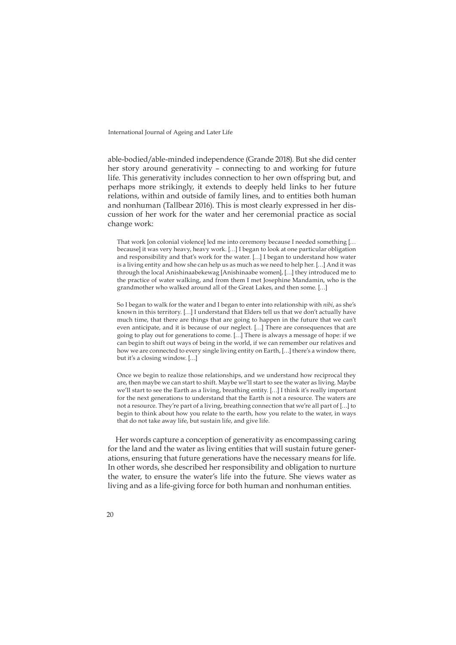able-bodied/able-minded independence (Grande 2018). But she did center her story around generativity – connecting to and working for future life. This generativity includes connection to her own offspring but, and perhaps more strikingly, it extends to deeply held links to her future relations, within and outside of family lines, and to entities both human and nonhuman (Tallbear 2016). This is most clearly expressed in her discussion of her work for the water and her ceremonial practice as social change work:

That work [on colonial violence] led me into ceremony because I needed something [… because] it was very heavy, heavy work. […] I began to look at one particular obligation and responsibility and that's work for the water. […] I began to understand how water is a living entity and how she can help us as much as we need to help her. […] And it was through the local Anishinaabekewag [Anishinaabe women], […] they introduced me to the practice of water walking, and from them I met Josephine Mandamin, who is the grandmother who walked around all of the Great Lakes, and then some. […]

So I began to walk for the water and I began to enter into relationship with *nibi*, as she's known in this territory. […] I understand that Elders tell us that we don't actually have much time, that there are things that are going to happen in the future that we can't even anticipate, and it is because of our neglect. […] There are consequences that are going to play out for generations to come. […] There is always a message of hope: if we can begin to shift out ways of being in the world, if we can remember our relatives and how we are connected to every single living entity on Earth, […] there's a window there, but it's a closing window. […]

Once we begin to realize those relationships, and we understand how reciprocal they are, then maybe we can start to shift. Maybe we'll start to see the water as living. Maybe we'll start to see the Earth as a living, breathing entity. […] I think it's really important for the next generations to understand that the Earth is not a resource. The waters are not a resource. They're part of a living, breathing connection that we're all part of […] to begin to think about how you relate to the earth, how you relate to the water, in ways that do not take away life, but sustain life, and give life.

Her words capture a conception of generativity as encompassing caring for the land and the water as living entities that will sustain future generations, ensuring that future generations have the necessary means for life. In other words, she described her responsibility and obligation to nurture the water, to ensure the water's life into the future. She views water as living and as a life-giving force for both human and nonhuman entities.

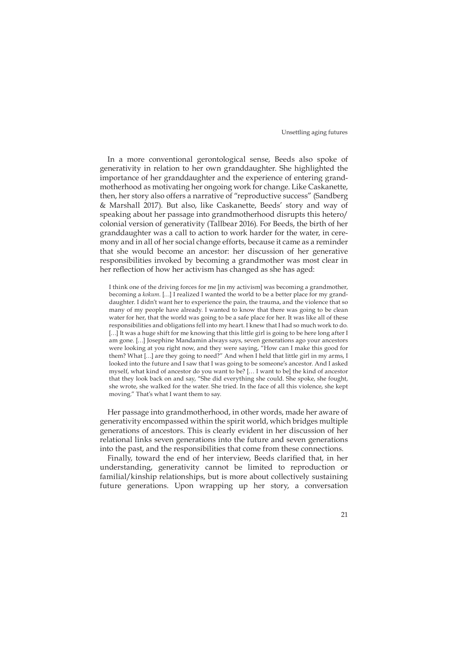In a more conventional gerontological sense, Beeds also spoke of generativity in relation to her own granddaughter. She highlighted the importance of her granddaughter and the experience of entering grandmotherhood as motivating her ongoing work for change. Like Caskanette, then, her story also offers a narrative of "reproductive success" (Sandberg & Marshall 2017). But also, like Caskanette, Beeds' story and way of speaking about her passage into grandmotherhood disrupts this hetero/ colonial version of generativity (Tallbear 2016). For Beeds, the birth of her granddaughter was a call to action to work harder for the water, in ceremony and in all of her social change efforts, because it came as a reminder that she would become an ancestor: her discussion of her generative responsibilities invoked by becoming a grandmother was most clear in her reflection of how her activism has changed as she has aged:

I think one of the driving forces for me [in my activism] was becoming a grandmother, becoming a *kokum*. […] I realized I wanted the world to be a better place for my granddaughter. I didn't want her to experience the pain, the trauma, and the violence that so many of my people have already. I wanted to know that there was going to be clean water for her, that the world was going to be a safe place for her. It was like all of these responsibilities and obligations fell into my heart. I knew that I had so much work to do. [...] It was a huge shift for me knowing that this little girl is going to be here long after I am gone. […] Josephine Mandamin always says, seven generations ago your ancestors were looking at you right now, and they were saying, "How can I make this good for them? What […] are they going to need?" And when I held that little girl in my arms, I looked into the future and I saw that I was going to be someone's ancestor. And I asked myself, what kind of ancestor do you want to be? [… I want to be] the kind of ancestor that they look back on and say, "She did everything she could. She spoke, she fought, she wrote, she walked for the water. She tried. In the face of all this violence, she kept moving." That's what I want them to say.

Her passage into grandmotherhood, in other words, made her aware of generativity encompassed within the spirit world, which bridges multiple generations of ancestors. This is clearly evident in her discussion of her relational links seven generations into the future and seven generations into the past, and the responsibilities that come from these connections.

Finally, toward the end of her interview, Beeds clarified that, in her understanding, generativity cannot be limited to reproduction or familial/kinship relationships, but is more about collectively sustaining future generations. Upon wrapping up her story, a conversation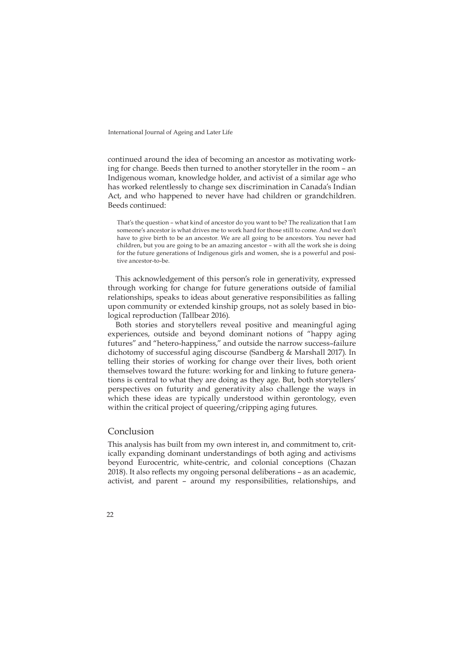continued around the idea of becoming an ancestor as motivating working for change. Beeds then turned to another storyteller in the room – an Indigenous woman, knowledge holder, and activist of a similar age who has worked relentlessly to change sex discrimination in Canada's Indian Act, and who happened to never have had children or grandchildren. Beeds continued:

That's the question – what kind of ancestor do you want to be? The realization that I am someone's ancestor is what drives me to work hard for those still to come. And we don't have to give birth to be an ancestor. We are all going to be ancestors. You never had children, but you are going to be an amazing ancestor – with all the work she is doing for the future generations of Indigenous girls and women, she is a powerful and positive ancestor-to-be.

This acknowledgement of this person's role in generativity, expressed through working for change for future generations outside of familial relationships, speaks to ideas about generative responsibilities as falling upon community or extended kinship groups, not as solely based in biological reproduction (Tallbear 2016).

Both stories and storytellers reveal positive and meaningful aging experiences, outside and beyond dominant notions of "happy aging futures" and "hetero-happiness," and outside the narrow success–failure dichotomy of successful aging discourse (Sandberg & Marshall 2017). In telling their stories of working for change over their lives, both orient themselves toward the future: working for and linking to future generations is central to what they are doing as they age. But, both storytellers' perspectives on futurity and generativity also challenge the ways in which these ideas are typically understood within gerontology, even within the critical project of queering/cripping aging futures.

#### Conclusion

This analysis has built from my own interest in, and commitment to, critically expanding dominant understandings of both aging and activisms beyond Eurocentric, white-centric, and colonial conceptions (Chazan 2018). It also reflects my ongoing personal deliberations – as an academic, activist, and parent – around my responsibilities, relationships, and

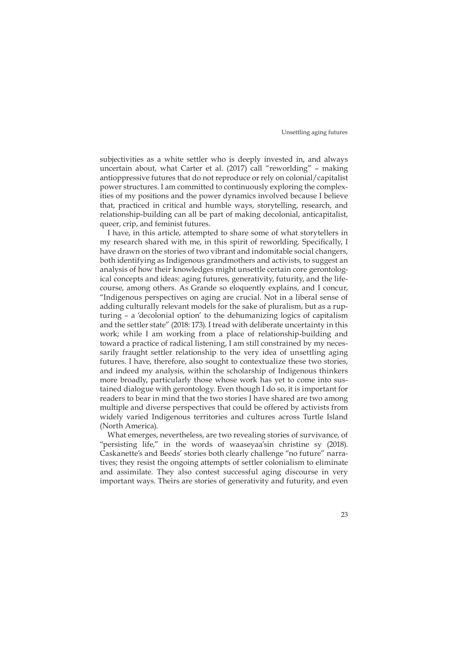subjectivities as a white settler who is deeply invested in, and always uncertain about, what Carter et al. (2017) call "reworlding" – making antioppressive futures that do not reproduce or rely on colonial/capitalist power structures. I am committed to continuously exploring the complexities of my positions and the power dynamics involved because I believe that, practiced in critical and humble ways, storytelling, research, and relationship-building can all be part of making decolonial, anticapitalist, queer, crip, and feminist futures.

I have, in this article, attempted to share some of what storytellers in my research shared with me, in this spirit of reworlding. Specifically, I have drawn on the stories of two vibrant and indomitable social changers, both identifying as Indigenous grandmothers and activists, to suggest an analysis of how their knowledges might unsettle certain core gerontological concepts and ideas: aging futures, generativity, futurity, and the lifecourse, among others. As Grande so eloquently explains, and I concur, "Indigenous perspectives on aging are crucial. Not in a liberal sense of adding culturally relevant models for the sake of pluralism, but as a rupturing – a 'decolonial option' to the dehumanizing logics of capitalism and the settler state" (2018: 173). I tread with deliberate uncertainty in this work; while I am working from a place of relationship-building and toward a practice of radical listening, I am still constrained by my necessarily fraught settler relationship to the very idea of unsettling aging futures. I have, therefore, also sought to contextualize these two stories, and indeed my analysis, within the scholarship of Indigenous thinkers more broadly, particularly those whose work has yet to come into sustained dialogue with gerontology. Even though I do so, it is important for readers to bear in mind that the two stories I have shared are two among multiple and diverse perspectives that could be offered by activists from widely varied Indigenous territories and cultures across Turtle Island (North America).

What emerges, nevertheless, are two revealing stories of survivance, of "persisting life," in the words of waaseyaa'sin christine sy (2018). Caskanette's and Beeds' stories both clearly challenge "no future" narratives; they resist the ongoing attempts of settler colonialism to eliminate and assimilate. They also contest successful aging discourse in very important ways. Theirs are stories of generativity and futurity, and even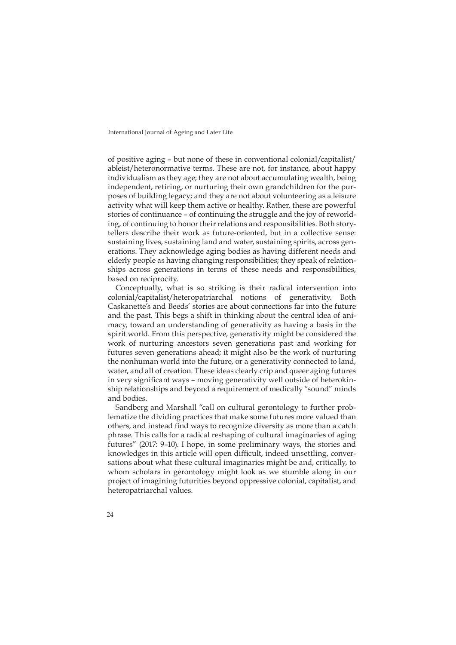of positive aging – but none of these in conventional colonial/capitalist/ ableist/heteronormative terms. These are not, for instance, about happy individualism as they age; they are not about accumulating wealth, being independent, retiring, or nurturing their own grandchildren for the purposes of building legacy; and they are not about volunteering as a leisure activity what will keep them active or healthy. Rather, these are powerful stories of continuance – of continuing the struggle and the joy of reworlding, of continuing to honor their relations and responsibilities. Both storytellers describe their work as future-oriented, but in a collective sense: sustaining lives, sustaining land and water, sustaining spirits, across generations. They acknowledge aging bodies as having different needs and elderly people as having changing responsibilities; they speak of relationships across generations in terms of these needs and responsibilities, based on reciprocity.

Conceptually, what is so striking is their radical intervention into colonial/capitalist/heteropatriarchal notions of generativity. Both Caskanette's and Beeds' stories are about connections far into the future and the past. This begs a shift in thinking about the central idea of animacy, toward an understanding of generativity as having a basis in the spirit world. From this perspective, generativity might be considered the work of nurturing ancestors seven generations past and working for futures seven generations ahead; it might also be the work of nurturing the nonhuman world into the future, or a generativity connected to land, water, and all of creation. These ideas clearly crip and queer aging futures in very significant ways – moving generativity well outside of heterokinship relationships and beyond a requirement of medically "sound" minds and bodies.

Sandberg and Marshall "call on cultural gerontology to further problematize the dividing practices that make some futures more valued than others, and instead find ways to recognize diversity as more than a catch phrase. This calls for a radical reshaping of cultural imaginaries of aging futures" (2017: 9–10). I hope, in some preliminary ways, the stories and knowledges in this article will open difficult, indeed unsettling, conversations about what these cultural imaginaries might be and, critically, to whom scholars in gerontology might look as we stumble along in our project of imagining futurities beyond oppressive colonial, capitalist, and heteropatriarchal values.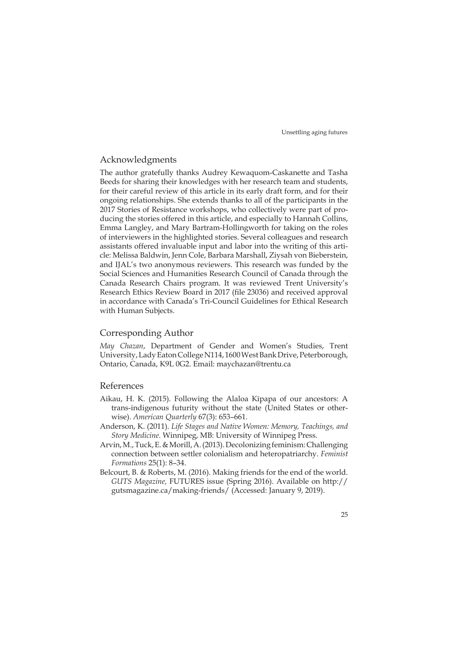### Acknowledgments

The author gratefully thanks Audrey Kewaquom-Caskanette and Tasha Beeds for sharing their knowledges with her research team and students, for their careful review of this article in its early draft form, and for their ongoing relationships. She extends thanks to all of the participants in the 2017 Stories of Resistance workshops, who collectively were part of producing the stories offered in this article, and especially to Hannah Collins, Emma Langley, and Mary Bartram-Hollingworth for taking on the roles of interviewers in the highlighted stories. Several colleagues and research assistants offered invaluable input and labor into the writing of this article: Melissa Baldwin, Jenn Cole, Barbara Marshall, Ziysah von Bieberstein, and IJAL's two anonymous reviewers. This research was funded by the Social Sciences and Humanities Research Council of Canada through the Canada Research Chairs program. It was reviewed Trent University's Research Ethics Review Board in 2017 (file 23036) and received approval in accordance with Canada's Tri-Council Guidelines for Ethical Research with Human Subjects.

# Corresponding Author

*May Chazan*, Department of Gender and Women's Studies, Trent University, Lady Eaton College N114, 1600 West Bank Drive, Peterborough, Ontario, Canada, K9L 0G2. Email: [maychazan@trentu.ca](mailto:maychazan@trentu.ca)

#### References

- Aikau, H. K. (2015). Following the Alaloa Kīpapa of our ancestors: A trans-indigenous futurity without the state (United States or otherwise). *American Quarterly* 67(3): 653–661.
- Anderson, K. (2011). *Life Stages and Native Women: Memory, Teachings, and Story Medicine.* Winnipeg, MB: University of Winnipeg Press.
- Arvin, M., Tuck, E. & Morill, A. (2013). Decolonizing feminism: Challenging connection between settler colonialism and heteropatriarchy. *Feminist Formations* 25(1): 8–34.
- Belcourt, B. & Roberts, M. (2016). Making friends for the end of the world. *GUTS Magazine,* FUTURES issue (Spring 2016). Available on [http://](http://gutsmagazine.ca/making-friends/) [gutsmagazine.ca/making-friends/](http://gutsmagazine.ca/making-friends/) (Accessed: January 9, 2019).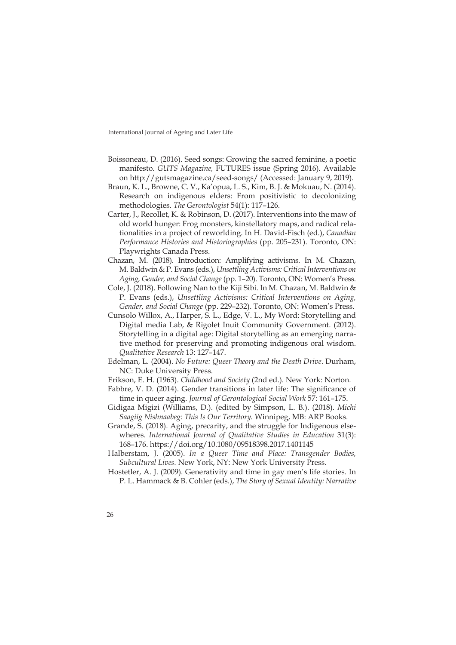- Boissoneau, D. (2016). Seed songs: Growing the sacred feminine, a poetic manifesto. *GUTS Magazine,* FUTURES issue (Spring 2016). Available on <http://gutsmagazine.ca/seed-songs/> (Accessed: January 9, 2019).
- Braun, K. L., Browne, C. V., Ka'opua, L. S., Kim, B. J. & Mokuau, N. (2014). Research on indigenous elders: From positivistic to decolonizing methodologies. *The Gerontologist* 54(1): 117–126.
- Carter, J., Recollet, K. & Robinson, D. (2017). Interventions into the maw of old world hunger: Frog monsters, kinstellatory maps, and radical relationalities in a project of reworlding. In H. David-Fisch (ed.), *Canadian Performance Histories and Historiographies* (pp. 205–231). Toronto, ON: Playwrights Canada Press.
- Chazan, M. (2018). Introduction: Amplifying activisms. In M. Chazan, M. Baldwin & P. Evans (eds.), *Unsettling Activisms: Critical Interventions on Aging, Gender, and Social Change* (pp. 1–20). Toronto, ON: Women's Press.
- Cole, J. (2018). Following Nan to the Kiji Sibi. In M. Chazan, M. Baldwin & P. Evans (eds.), *Unsettling Activisms: Critical Interventions on Aging, Gender, and Social Change* (pp. 229–232). Toronto, ON: Women's Press.
- Cunsolo Willox, A., Harper, S. L., Edge, V. L., My Word: Storytelling and Digital media Lab, & Rigolet Inuit Community Government. (2012). Storytelling in a digital age: Digital storytelling as an emerging narrative method for preserving and promoting indigenous oral wisdom. *Qualitative Research* 13: 127–147.
- Edelman, L. (2004). *No Future: Queer Theory and the Death Drive*. Durham, NC: Duke University Press.
- Erikson, E. H. (1963). *Childhood and Society* (2nd ed.). New York: Norton.
- Fabbre, V. D. (2014). Gender transitions in later life: The significance of time in queer aging. *Journal of Gerontological Social Work* 57: 161–175.
- Gidigaa Migizi (Williams, D.). (edited by Simpson, L. B.). (2018). *Michi Saagiig Nishnaabeg: This Is Our Territory.* Winnipeg, MB: ARP Books.
- Grande, S. (2018). Aging, precarity, and the struggle for Indigenous elsewheres. *International Journal of Qualitative Studies in Education* 31(3): 168–176. <https://doi.org/10.1080/09518398.2017.1401145>
- Halberstam, J. (2005). *In a Queer Time and Place: Transgender Bodies, Subcultural Lives.* New York, NY: New York University Press.
- Hostetler, A. J. (2009). Generativity and time in gay men's life stories. In P. L. Hammack & B. Cohler (eds.), *The Story of Sexual Identity: Narrative*
- 26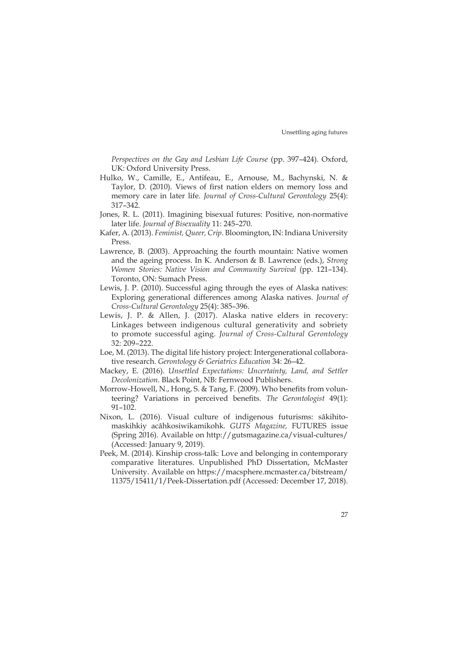*Perspectives on the Gay and Lesbian Life Course* (pp. 397–424). Oxford, UK: Oxford University Press.

- Hulko, W., Camille, E., Antifeau, E., Arnouse, M., Bachynski, N. & Taylor, D. (2010). Views of first nation elders on memory loss and memory care in later life. *Journal of Cross-Cultural Gerontology* 25(4): 317–342.
- Jones, R. L. (2011). Imagining bisexual futures: Positive, non-normative later life. *Journal of Bisexuality* 11: 245–270.
- Kafer, A. (2013). *Feminist, Queer, Crip*. Bloomington, IN: Indiana University Press.
- Lawrence, B. (2003). Approaching the fourth mountain: Native women and the ageing process. In K. Anderson & B. Lawrence (eds.), *Strong Women Stories: Native Vision and Community Survival* (pp. 121–134). Toronto, ON: Sumach Press.
- Lewis, J. P. (2010). Successful aging through the eyes of Alaska natives: Exploring generational differences among Alaska natives. *Journal of Cross-Cultural Gerontology* 25(4): 385–396.
- Lewis, J. P. & Allen, J. (2017). Alaska native elders in recovery: Linkages between indigenous cultural generativity and sobriety to promote successful aging. *Journal of Cross-Cultural Gerontology* 32: 209–222.
- Loe, M. (2013). The digital life history project: Intergenerational collaborative research. *Gerontology & Geriatrics Education* 34: 26–42.
- Mackey, E. (2016). *Unsettled Expectations: Uncertainty, Land, and Settler Decolonization.* Black Point, NB: Fernwood Publishers.
- Morrow-Howell, N., Hong, S. & Tang, F. (2009). Who benefits from volunteering? Variations in perceived benefits. *The Gerontologist* 49(1): 91–102.
- Nixon, L. (2016). Visual culture of indigenous futurisms: sâkihitomaskihkiy acâhkosiwikamikohk. *GUTS Magazine,* FUTURES issue (Spring 2016). Available on <http://gutsmagazine.ca/visual-cultures/> (Accessed: January 9, 2019).
- Peek, M. (2014). Kinship cross-talk: Love and belonging in contemporary comparative literatures. Unpublished PhD Dissertation, McMaster University. Available on [https://macsphere.mcmaster.ca/bitstream/](https://macsphere.mcmaster.ca/bitstream/11375/15411/1/Peek-Dissertation.pdf) [11375/15411/1/Peek-Dissertation.pdf](https://macsphere.mcmaster.ca/bitstream/11375/15411/1/Peek-Dissertation.pdf) (Accessed: December 17, 2018).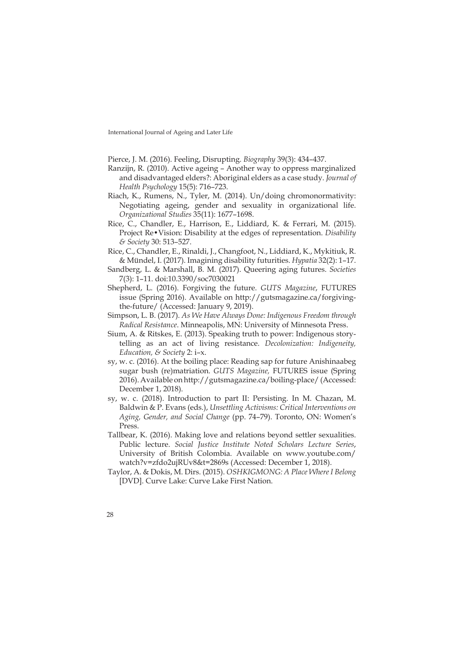- Pierce, J. M. (2016). Feeling, Disrupting. *Biography* 39(3): 434–437.
- Ranzijn, R. (2010). Active ageing Another way to oppress marginalized and disadvantaged elders?: Aboriginal elders as a case study. *Journal of Health Psychology* 15(5): 716–723.
- Riach, K., Rumens, N., Tyler, M. (2014). Un/doing chromonormativity: Negotiating ageing, gender and sexuality in organizational life. *Organizational Studies* 35(11): 1677–1698.
- Rice, C., Chandler, E., Harrison, E., Liddiard, K. & Ferrari, M. (2015). Project Re•Vision: Disability at the edges of representation. *Disability & Society* 30: 513–527.
- Rice, C., Chandler, E., Rinaldi, J., Changfoot, N., Liddiard, K., Mykitiuk, R. & Mündel, I. (2017). Imagining disability futurities. *Hypatia* 32(2): 1–17.
- Sandberg, L. & Marshall, B. M. (2017). Queering aging futures. *Societies* 7(3): 1–11. doi:10.3390/soc7030021
- Shepherd, L. (2016). Forgiving the future. *GUTS Magazine*, FUTURES issue (Spring 2016). Available on [http://gutsmagazine.ca/forgiving](http://gutsmagazine.ca/forgiving-the-future/)[the-future/](http://gutsmagazine.ca/forgiving-the-future/) (Accessed: January 9, 2019).
- Simpson, L. B. (2017). *As We Have Always Done: Indigenous Freedom through Radical Resistance*. Minneapolis, MN: University of Minnesota Press.
- Sium, A. & Ritskes, E. (2013). Speaking truth to power: Indigenous storytelling as an act of living resistance. *Decolonization: Indigeneity, Education, & Society* 2: i–x.
- sy, w. c. (2016). At the boiling place: Reading sap for future Anishinaabeg sugar bush (re)matriation. *GUTS Magazine,* FUTURES issue (Spring 2016). Available on<http://gutsmagazine.ca/boiling-place/>(Accessed: December 1, 2018).
- sy, w. c. (2018). Introduction to part II: Persisting. In M. Chazan, M. Baldwin & P. Evans (eds.), *Unsettling Activisms: Critical Interventions on Aging, Gender, and Social Change* (pp. 74–79). Toronto, ON: Women's Press.
- Tallbear, K. (2016). Making love and relations beyond settler sexualities. Public lecture. *Social Justice Institute Noted Scholars Lecture Series*, University of British Colombia. Available on [www.youtube.com/](http://www.youtube.com/watch?v=zfdo2ujRUv8&t=2869s) [watch?v=zfdo2ujRUv8&t=2869s](http://www.youtube.com/watch?v=zfdo2ujRUv8&t=2869s) (Accessed: December 1, 2018).
- Taylor, A. & Dokis, M. Dirs. (2015). *OSHKIGMONG: A Place Where I Belong*  [DVD]. Curve Lake: Curve Lake First Nation.
- 28